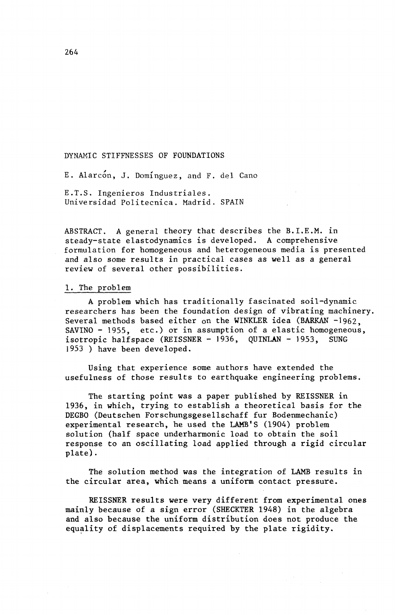# DYNAMIC STIFFNESSES OF FOUNDATIONS

E. Alarcon, J. Dominguez, and F. del Cano

E.T.S. Ingenieros Industriales. Universidad Politecnica. Madrid. SPAIN

ABSTRACT. A general theory that describes the B.I.E.M. in steady-state elastodynamics is developed. A comprehensive formulation for homogeneous and heterogeneous media is presented and also some results in practical cases as well as a general review of several other possibilities.

### l. The problem

A problem which has traditionally fascinated soil-dynamic researchers has been the foundation design of vibrating machinery. Several methods based either on the WINKLER idea (BARKAN -1962, SAVINO - 1955, etc.) or in assumption of a elastic homogeneous,<br>isotropic halfspace (REISSNER - 1936, OUINLAN - 1953, SUNG isotropic halfspace (REISSNER - 1936, QUINLAN - 1953, 1953 ) have been developed.

Using that experience some authors have extended the usefulness of those results to earthquake engineering problems.

The starting point was a paper published by REISSNER in 1936, in which, trying to establish a theoretical basis for the DEGBO (Deutschen Forschungsgesellschaff fur Bodenmechanic) experimental research, he used the LAMB'S (1904) problem solution (half space underharmonic load to obtain the soil response to an oscillating load applied through a rigid circular plate).

The solution method was the integration of LAMB results in the circular area, which means a uniform contact pressure.

REISSNER results were very different from experimental ones mainly because of a sign error (SHECKTER 1948) in the algebra and also because the uniform distribution does not produce the equality of displacements required by the plate rigidity.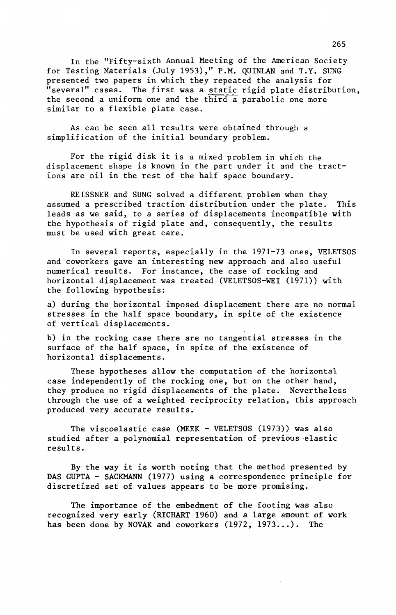In the "Fifty-sixth Annual Meeting of the American Society for Testing Materials (July 1953)," P.M. QUINLAN and T.Y. SUNG presented two papers in which they repeated the analysis for "several" cases. The first was a static rigid plate distribution, the second a uniform one and the third a parabolic one more similar to a flexible plate case.

As can be seen al1 results were obtained through a simplification of the initial boundary problem.

For the rigid disk it is a mixed problem in which the displacement shape is known in the part under it and the tractions are nil in the rest of the half space boundary.

REISSNER and SUNG solved a different problem when they assumed a prescribed traction distribution under the plate. This leads as we said, to a series of displacements incompatible with the hypothesis of rigid plate and, consequently, the results must be used with great care.

In several reports, especially in the 1971-73 ones, VELETSOS and coworkers gave an interesting new approach and also useful<br>numerical results. For instance, the case of rocking and For instance, the case of rocking and horizontal displacement was treated (VELETSOS-WEI (1971)) with the following hypothesis:

a) during the horizontal imposed displacement there are no normal stresses in the half space boundary, in spite of the existence of vertical displacements.

b) in the rocking case there are no tangential stresses in the surface of the half space, in spite of the existence of horizontal displacements.

These hypotheses allow the computation of the horizontal case independently of the rocking one, but on the other hand, they produce no rígid displacements of the plate. Nevertheless through the use of a weighted reciprocíty relation, this approach produced very accurate results.

The viscoelastic case (MEEK - VELETSOS (1973)) was also studied after a polynomial representation of previous elastic resu1ts.

By the way it is worth noting that the method presented by DAS GUPTA - SACKMANN (1977) using a correspondence principle for discretized set of values appears to be more promising.

The importance of the embedment of the footing was also recognized very ear1y (RICHART 1960) and a large amount of work has been done by NOVAK and coworkers  $(1972, 1973...)$ . The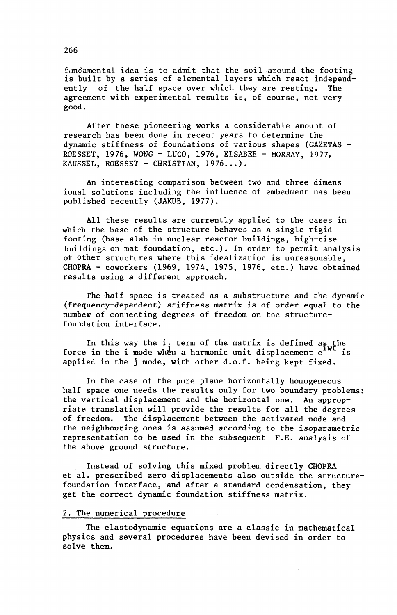fundamental idea is to admit that the soil ·around the footing is built by a series of elemental layers which react independently of the half space over which they are resting. The agreement with experimental results is, of course, not very good.

After these pioneering works a considerable amount of research has been done in recent years to determine the dynamic stiffness of foundations of various shapes (GAZETAS - ROESSET, 1976, WONG- LUCO, 1976, ELSABEE- MORRAY, 1977, KAUSSEL, ROESSET - CHRISTIAN,  $1976...$ .

An interesting comparison between two and three dimensional solutions including the influence of embedment has been published recently (JAKUB, 1977).

All these results are currently applied to the cases in which the base of the structure behaves as a single rigid footing (base slab in nuclear reactor buildings, high-rise buildings on mat foundation, etc.). In order to permit analysis of other structures where this idealization is unreasonable, CHOPRA- coworkers (1969, 1974, 1975, 1976, etc.) have obtained results using a different approach.

The half space is treated as a substructure and the dynamic (frequency-dependent) stiffness matrix is of order equal to the number of connecting degrees of freedom on the structurefoundation interface.

In this way the i<sub>j</sub> term of the matrix is defined as the in the i mode when a harmonic unit displacement e<sup>1W</sup> is force in the i mode when a harmonic unit displacement  $e<sup>1</sup>$  $\frac{1}{2}$ the applied in the j mode, with other d.o.f. being kept fixed.

In the case of the pure plane horizontally homogeneous half space one needs the results only for two boundary problems: the vertical displacement and the horizontal one. An appropriate translation will provide the results for all the degrees of freedom. The displacement between the activated node and the neighbouring ones is assumed according to the isoparametric representation to be used in the subsequent  $F.E.$  analysis of the above ground structure.

. Instead of solving this mixed problem directly CHOPRA et al. prescribed zero displacements also outside the structurefoundation interface, and after a standard condensation, they get the correct dynamic foundation stiffness matrix.

## 2. The numerical procedure

The elastodynamic equations are a classic in mathematical physics and severa! procedures have been devised in order to solve them.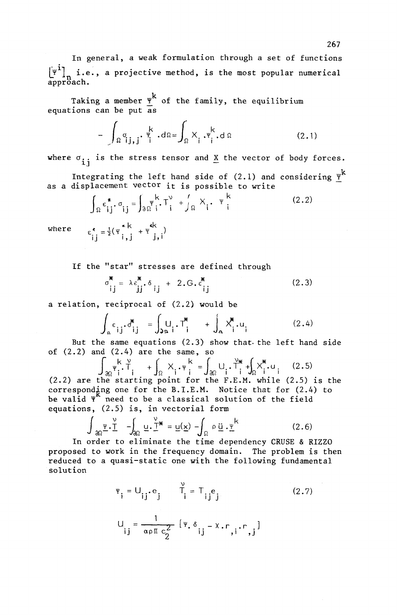In general, a weak formulation through a set of functions  $[\Psi^{i}]$ <sub>n</sub> i.e., a projective method, is the most popular numerical approach.

Taking a member  $\underline{\Psi}^{\mathbf{K}}$  of the family, the equilibrium equations can be put as

$$
-\int_{\Omega} \sigma_{ij,j} \cdot \frac{1}{i} d\Omega = \int_{\Omega} X_{i} \cdot \frac{1}{i} d\Omega \qquad (2.1)
$$

where  $\sigma_{ij}$  is the stress tensor and  $\underline{x}$  the vector of body forces.

Integrating the left hand side of (2.1) and considering  $\underline{\Psi}^{\mathbf{k}}$ as a displacement vector it is possible to write

$$
\int_{\Omega} \varepsilon_{ij}^* \cdot \sigma_{ij} = \int_{\partial} \psi_i^k \cdot T_i^\nu + \int_{\Omega} X_i \cdot \Psi_i^k
$$
 (2.2)

where  $\varepsilon_{i,i}^* = \frac{1}{2}(\Psi_{i,i}^* + \Psi_{i,i}^{\text{dk}})$ 

If the "star" stresses are defined through

$$
\sigma_{ij}^* = \lambda \epsilon_{ij}^*, \delta_{ij} + 2. G, \epsilon_{ij}^* \tag{2.3}
$$

a relation, reciprocal of (2.2) would be

$$
\int_{\Omega} \epsilon_{ij} \cdot \delta_{ij}^* = \int_{\partial \Omega} \mathbf{U}_i \cdot \mathbf{I}_i^* + \int_{\Omega} \chi_i^* \cdot \mathbf{u}_i \tag{2.4}
$$

But the same equations (2.3) show that. the left hand side of (2.2) and (2.4) are the same, so

\n For (2.2) and (2.4) are the same, so\n 
$$
\int_{\mathfrak{M}} \begin{array}{ccc}\n k & \vee \\
 \downarrow \\
 \downarrow \\
 \uparrow \\
 \downarrow\n \end{array}
$$
\n

\n\n The sum of the matrix  $\mathfrak{S}^{\text{max}} = \int_{\mathfrak{M}} \mathfrak{S}^{\text{max}} \mathfrak{S}^{\text{max}} = \int_{\mathfrak{M}} \mathfrak{S}^{\text{max}} \mathfrak{S}^{\text{max}} \mathfrak{S}^{\text{max}} = \int_{\mathfrak{M}} \mathfrak{S}^{\text{max}} \mathfrak{S}^{\text{max}} = \int_{\mathfrak{N}} \mathfrak{S}^{\text{max}} \mathfrak{S}^{\text{max}} = \int_{\mathfrak{N}} \mathfrak{S}^{\text{max}} \mathfrak{S}^{\text{max}} = \int_{\mathfrak{N}} \mathfrak{S}^{\text{max}} = \int_{\mathfrak{N}} \mathfrak{S}^{\text{max}} = \int_{\mathfrak{N}} \mathfrak{S}^{\text{max}} = \int_{\mathfrak{N}} \mathfrak{S}^{\text{max}} = \int_{\mathfrak{N}} \mathfrak{S}^{\text{max}} = \int_{\mathfrak{N}} \mathfrak{S}^{\text{max}} = \int_{\mathfrak{N}} \mathfrak{S}^{\text{max}} = \int_{\mathfrak{N}} \mathfrak{S}^{\text{max}} = \int_{\mathfrak{N}} \mathfrak{S}^{\text{max}} = \int_{\mathfrak{N}} \mathfrak{S}^{\text{max}} = \int_{\mathfrak{N}} \mathfrak{S}^{\text{max}} = \int_{\mathfrak{N}} \mathfrak{S}^{\text{max}} = \int_{\mathfrak{N}} \mathfrak{S}^{\text{max}} = \int_{\mathfrak{N}} \mathfrak{S}^{\text{max}} = \int_{\mathfrak{N}} \mathfrak{S}^{\text{max}} = \int_{\mathfrak{N}} \mathfrak{S}^{\text{max}} = \int_{\mathfrak{N}} \mathfrak{S}^{\text{max}} = \int_{\mathfrak{N}} \mathfrak{S}^{\text{max}} = \int_{\mathfrak{N}} \mathfrak{S}^{\text{max}} = \int_{\mathfrak$ 

$$
\int_{\partial\Omega} \underline{\Psi} \cdot \underline{\tilde{\Gamma}} - \int_{\partial\Omega} \underline{u} \cdot \underline{\tilde{\Gamma}}^* = \underline{u}(\underline{x}) - \int_{\Omega} \rho \underline{\tilde{u}} \cdot \underline{\Psi}^k
$$
 (2.6)

In arder to eliminate the time dependency CRUSE & RIZZO proposed to work in the frequency domain. The problem is then reduced to a quasi-static one with the following fundamental solution

$$
\Psi_{\mathbf{i}} = U_{\mathbf{i}\mathbf{j}} \cdot \mathbf{e}_{\mathbf{j}} \qquad \mathbf{T}_{\mathbf{i}} = \mathbf{T}_{\mathbf{i}\mathbf{j}} \mathbf{e}_{\mathbf{j}} \tag{2.7}
$$
\n
$$
U_{\mathbf{i}\mathbf{j}} = \frac{1}{\alpha \rho \pi c_2^2} [\Psi_{\mathbf{i}} \delta_{\mathbf{i}\mathbf{j}} - X \cdot \mathbf{r}_{\mathbf{i}\mathbf{i}} \cdot \mathbf{r}_{\mathbf{j}}]
$$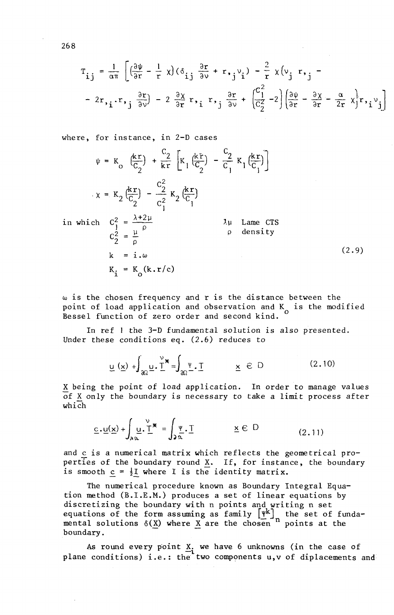$$
T_{ij} = \frac{1}{\alpha \pi} \left[ \left( \frac{\partial \psi}{\partial r} - \frac{1}{r} \chi \right) (\delta_{ij} \frac{\partial r}{\partial \nu} + r_{ij} v_i) - \frac{2}{r} \chi (v_j r_{ij} - 2r_{ij} r_{ij} - 2r_{ij} r_{ij} v_j) \right] - 2 \frac{\partial \chi}{\partial r} r_{ij} r_{ij} \frac{\partial r}{\partial \nu} + \left( \frac{\partial^2 \psi}{\partial z^2} - 2 \right) \left( \frac{\partial \psi}{\partial r} - \frac{\partial \chi}{\partial r} - \frac{\alpha}{2r} \chi \right) r_{ij} v_j
$$

where, for instance, in 2-D cases

$$
\psi = \mathbf{K}_{0} \left( \frac{k \mathbf{r}}{\mathbf{C}_{2}} \right) + \frac{\mathbf{C}_{2}}{k \mathbf{r}} \left[ \mathbf{K}_{1} \left( \frac{k \mathbf{r}}{\mathbf{C}_{2}} \right) - \frac{\mathbf{C}_{2}}{\mathbf{C}_{1}} \mathbf{K}_{1} \left( \frac{k \mathbf{r}}{\mathbf{C}_{1}} \right) \right]
$$
\n
$$
\chi = \mathbf{K}_{2} \left( \frac{k \mathbf{r}}{\mathbf{C}_{2}} \right) - \frac{\mathbf{C}_{2}^{2}}{\mathbf{C}_{1}^{2}} \mathbf{K}_{2} \left( \frac{k \mathbf{r}}{\mathbf{C}_{1}} \right)
$$
\nin which

\n
$$
\mathbf{C}_{2}^{2} = \frac{\lambda + 2\mu}{\rho} \qquad \qquad \lambda \mu \quad \text{Lame CTS}
$$
\n
$$
\mathbf{C}_{2}^{2} = \frac{\mu}{\rho} \qquad \qquad \lambda \mu \quad \text{Lame CTS}
$$
\n
$$
\mathbf{K}_{1} = \mathbf{i} \cdot \omega
$$
\n
$$
\mathbf{K}_{2} = \mathbf{K}_{0} (\mathbf{k} \cdot \mathbf{r}/c)
$$
\n(2.9)

*w* is the chosen frequency and r is the distance between the point of load application and observation and  $K_0$  is the modified Bessel function of zero order and second kind.

In ref 1 the 3-D fundamental solution is also presented. Under these conditions eq. (2.6) reduces to

$$
\underline{\mathsf{u}}\ (\underline{\mathsf{x}}) \ + \int_{\partial \Omega} \underline{\mathsf{u}} \cdot \underline{\Gamma}^* = \int_{\partial \Omega} \underline{\mathsf{v}} \cdot \underline{\mathsf{T}} \qquad \underline{\mathsf{x}} \ \in \ \mathsf{D} \tag{2.10}
$$

! being the point of load application. In order to manage values of X only the boundary is necessary to take a limit process after which

$$
\underline{c} \cdot \underline{u}(\underline{x}) + \int_{\partial \underline{u}} \underline{u} \cdot \underline{T}^* = \int_{\partial \underline{u}} \underline{\Psi} \cdot \underline{T} \qquad \underline{x} \in D \qquad (2.11)
$$

and e is a numerical matrix which reflects the geometrical properties of the boundary round  $X$ . If, for instance, the boundary is smooth  $c = \frac{1}{2}I$  where I is the identity matrix.

The numerical procedure known as Boundary Integral Equation method (B.I.E.M.) produces a set of linear equations by discretizing the boundary with n points and writing n set equations of the form assuming as family  $[\Psi^{\mathbf{k}}]$  the set of fundamental solutions  $\delta(X)$  where X are the chosen<sup>1</sup> points at the boundary.  $\overline{\phantom{a}}$ 

As round every point  $X_i$  we have 6 unknowns (in the case of plane conditions) i.e.: the two components  $u,v$  of diplacements and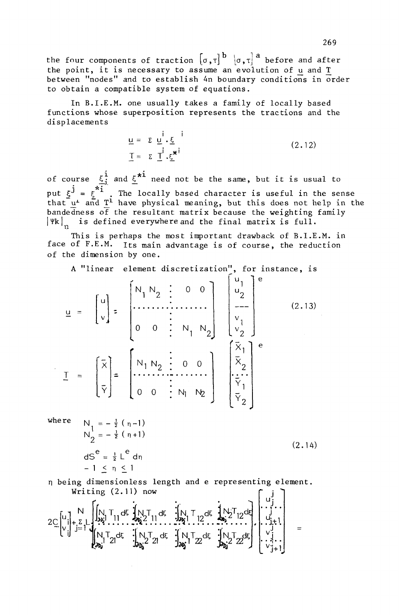the four components of traction  $[\sigma, \tau]$ <sup>b</sup>  $[\sigma, \tau]$ <sup>a</sup> before and after the point, it is necessary to assume an evolution of u and T between "nodes" and to establish 4n boundary conditions in order to obtain a compatible system of equations.

In B.I.E.M. one usually takes a family of locally based functions whose superposition represents the tractions and the displacements

$$
\underline{u} = \Sigma \underline{u}^i \cdot \underline{\xi}^i
$$
  
\n
$$
\underline{T} = \Sigma \underline{T}^i \cdot \underline{\xi}^{*ki}
$$
\n(2.12)

of course  $\xi_j^i$  and  $\xi^*$  need not be the same, but it is usual to<br>put  $\xi_j^j = \xi^{*i}$ . The locally based character is useful in the sense<br>that  $u^i$  and  $T^i$  have physical meaning, but this does not help in the<br>banded  $|\Psi k|$  is defined everywhere and the final matrix is full.

This is perhaps the most important drawback of B.I.E.M. in face of F.E.M. Its main advantage is of course, the reduction of the dimension by one.

A "linear element discretization", for instance, is

$$
\underline{u} = \begin{bmatrix} u \\ v \end{bmatrix} = \begin{bmatrix} N_1 N_2 & \vdots & 0 & 0 \\ \vdots & \vdots & \ddots & \vdots \\ 0 & 0 & \vdots & N_1 N_2 \end{bmatrix} \begin{bmatrix} u_1 \\ u_2 \\ v_2 \\ v_1 \\ v_2 \end{bmatrix} e
$$
\n
$$
\underline{T} = \begin{bmatrix} \overline{x} \\ \overline{y} \\ \overline{y} \end{bmatrix} = \begin{bmatrix} N_1 N_2 & \vdots & 0 & 0 \\ \vdots & \vdots & \ddots & \vdots \\ \vdots & \vdots & \ddots & \vdots \\ 0 & 0 & \vdots & N_1 N_2 \end{bmatrix} \begin{bmatrix} \overline{x}_1 \\ \overline{x}_2 \\ \overline{y}_1 \\ \overline{y}_2 \\ \overline{y}_2 \end{bmatrix} e
$$
\n(2.13)

where 
$$
N_1 = -\frac{1}{2} (\eta - 1)
$$
  
 $N_2 = -\frac{1}{2} (\eta + 1)$ 

$$
dSe = \frac{1}{2} Le d
$$
  
- 1 \le n \le 1

'n

n being dimensionless length and e representing element. Writing  $(2.11)$  now  $f \in \mathcal{L}$ 

$$
2C\begin{bmatrix} u \\ v \end{bmatrix} + \sum_{j=1}^N \begin{bmatrix} \int_{N_j} T_{11} d\xi & \int_{N_j} T_{11} d\xi & \int_{N_j} T_{12} d\xi & \int_{N_j} N_j T_{12} d\xi \\ \int_{N_j} N_j T_{21} d\xi & \int_{N_j} N_j T_{22} d\xi & \int_{N_j} N_j T_{22} d\xi & \int_{N_j^2} N_j T_{22} d\xi \end{bmatrix} \begin{bmatrix} u_j \\ v_j \\ \vdots \\ v_{j+1} \end{bmatrix} =
$$

 $(2.14)$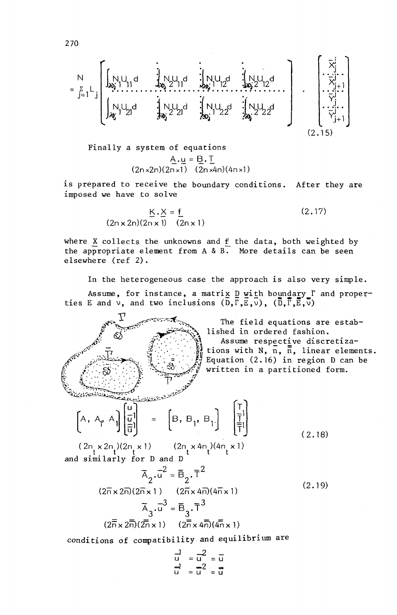

Finally a system of equations  
\n
$$
\underline{A}.\underline{u} = \underline{B}.\underline{T}
$$
\n
$$
(2n \times 2n)(2n \times 1) \quad (2n \times 4n)(4n \times 1)
$$

is prepared to receive the boundary conditions. After they are imposed we have to solve

> $\underline{K} \cdot \underline{X} = \underline{f}$ <br>(2n x 2n)(2n x 1) (2n x 1)  $(2.17)$

where X collects the unknowns and f the data, both weighted by the appropriate element from A & B. More details can be seen elsewhere (ref 2).

In the heterogeneous case the approach is also very simple.

Assume, for instance, a matrix D with boundary I and properties E and  $\nu$ , and two inclusions  $(\overline{D}, \overline{F}, \overline{E}, \overline{\nu})$ ,  $(\overline{D}, \overline{F}, \overline{E}, \overline{\nu})$ 

> The field equations are established in ordered fashion. Assume respective discretizations with  $N, n, \bar{n}$ , linear elements. Equation  $(2.16)$  in region D can be written in a partitioned form.

$$
\left[A, A_{\gamma} A_{\gamma}\right]\begin{bmatrix} \vdots \\ \vdots \\ \vdots \\ \vdots \\ \vdots \end{bmatrix} = \left[B, B_{\gamma}, B_{\gamma}\right]\begin{bmatrix} \vdots \\ \vdots \\ \vdots \\ \vdots \\ \vdots \end{bmatrix}
$$

 $(2.18)$ 

 $(2n_t \times 2n_t)(2n_t \times 1)$   $(2n_t \times 4n_t)(4n_t \times 1)$ <br>and similarly for D and D

$$
\overline{A}_{2} \cdot \overline{u}^{2} = \overline{B}_{2} \cdot \overline{T}^{2}
$$
\n
$$
(2\overline{n} \times 2\overline{n})(2\overline{n} \times 1) \qquad (2\overline{n} \times 4\overline{n})(4\overline{n} \times 1) \qquad (2.19)
$$
\n
$$
\overline{A}_{3} \cdot \overline{u}^{3} = \overline{B}_{3} \cdot \overline{T}^{3}
$$
\n
$$
(2\overline{n} \times 2\overline{n})(2\overline{n} \times 1) \qquad (2\overline{n} \times 4\overline{n})(4\overline{n} \times 1)
$$
\n(2.19)

conditions of compatibility and equilibrium are

$$
\begin{array}{ccc}\n-1 & -2 & -1 \\
u & = u^2 & = u \\
\hline\nu^2 & = u^2 & = \overline{u}\n\end{array}
$$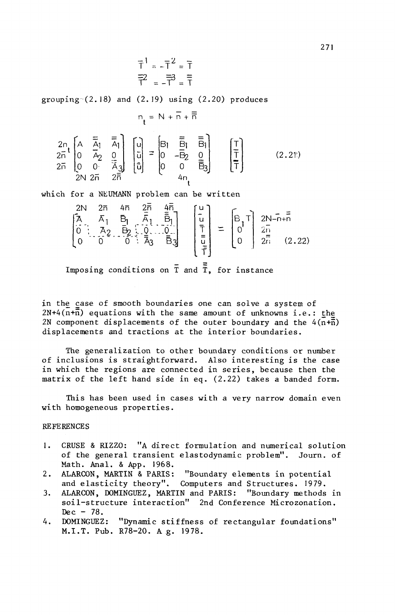$$
\overline{T}^1 = -\overline{T}^2 = \overline{T}
$$

$$
\overline{T}^2 = -\overline{T}^3 = \overline{T}
$$

grouping  $(2.18)$  and  $(2.19)$  using  $(2.20)$  produces

$$
n_t = N + \overline{n} + \overline{n}
$$

$$
\begin{array}{c}\n2n_1 \\
2n_1^2 \\
2n_1^2 \\
2n_1^2\n\end{array}\n\begin{bmatrix}\nA & \frac{1}{2} & \frac{1}{2} \\
0 & \frac{1}{2} & 0 \\
0 & 0 & \frac{1}{2} \\
2n_1 & 2n_1^2\n\end{bmatrix}\n\begin{bmatrix}\n0 \\
0 \\
0 \\
0\n\end{bmatrix}\n=\n\begin{bmatrix}\nB_1 & \frac{1}{2} & \frac{1}{2} \\
0 & -B_2 & 0 \\
0 & 0 & \frac{1}{2} \\
0 & 0 & 0\n\end{bmatrix}\n\begin{bmatrix}\n0 \\
0 \\
0 \\
0\n\end{bmatrix}\n\begin{bmatrix}\n0 \\
0 \\
0 \\
0\n\end{bmatrix}
$$
\n(2.21)

which for a NEUMANN problem can be written

$$
\begin{bmatrix} 2N & 2\overline{n} & 4\overline{n} & 2\overline{n} & 4\overline{n} \\ \overline{A} & \overline{A}_1 & \overline{B}_1 & \overline{A}_1 & \overline{B}_1 \\ \overline{0} & \overline{A}_2 & \overline{B}_2 & \overline{0} & \overline{0} & \overline{0} \\ 0 & 0 & 0 & 0 & \overline{A}_3 & \overline{B}_3 \end{bmatrix} \begin{bmatrix} u \\ u \\ \overline{t} \\ \overline{t} \\ \overline{u} \\ \overline{u} \\ \overline{u} \end{bmatrix} = \begin{bmatrix} B_1 T \\ 0 \\ 0 \end{bmatrix} \begin{bmatrix} 2N - \overline{n} + \overline{n} \\ 2\overline{n} \\ 0 \\ 0 \end{bmatrix}
$$
(2.22)

Imposing conditions on  $\overline{T}$  and  $\overline{T}$ , for instance

in the case of smooth boundaries one can solve a system of  $2N+4(\overline{n}+\overline{\overline{n}})$  equations with the same amount of unknowns i.e.: the 2N component displacements of the outer boundary and the  $4(n+\overline{n})$ displacements and tractions at the interior boundaries.

The generalization to other boundary conditions or number of inclusions is straightforward. Also interesting ís the case in which the regions are connected in series, because then the matrix of the left hand side in eq. (2.22) takes a banded form.

This has been used in cases with a very narrow domain even with homogeneous properties.

## **REFERENCES**

- J. CRUSE & RIZZO: "A direct formulation and numerical solution of the general transient elastodynamic problem". Journ. of Math. Anal. & App. 1968.
- 2. ALARCON, MARTIN & PARIS: "Boundary elements in potential and elasticity theory". Computers and Structures. 1979.
- 3. ALARCON, DOMINGUEZ, MARTIN and PARIS: "Boundary methods in soil-structure interaction" 2nd Conference Microzonation. Dec - 78.<br>DOMINGUEZ:
- 4. OOMINGUEZ: "Dynamic stiffness of rectangular foundations" M.I.T. Pub. R78-20. A.g. 1978.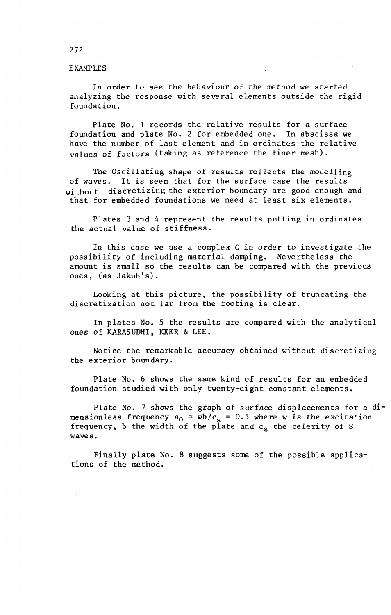### EXAMPLES

In arder to see the behaviour of the method we started analyzing the response with several elements outside the rigid foundation.

Plate No. 1 records the relatíve results for a surface foundation and plate No. 2 for embedded one. In abscissa we have the number of last element and in ordinates the relative values of factors (taking as reference the finer mesh).

The Oscillating shape of results reflects the modelling<br>of waves. It is seen that for the surface case the results It is seen that for the surface case the results without discretizing the exterior boundary are good enough and that for embedded foundations we need at least six elements.

Plates 3 and 4 represent the results puttíng in ordinates the actual value of stiffness.

In this case we use a complex G in order to investigate the possibility of including material damping. Nevertheless the amount is small so the results can be compared with the previous ones, (as Jakub's).

Looking at this picture, the possibility of truncating the discretization not far from the footing is clear.

In plates No. 5 the results are compared with the analytical ones of KARASUDHI, KEER & LEE.

Notice the remarkable accuracy obtained without discretizing the exterior boundary.

Plate No. 6 shows the same kind of results for an embedded foundation studied with only twenty-eight constant elements.

Plate No. 7 shows the graph of surface displacements for a dimensionless frequency  $a_0 = \frac{wb}{c_s} = 0.5$  where w is the excitation frequency, b the width of the plate and  $c<sub>s</sub>$  the celerity of S waves.

Finally plate No. 8 suggests some of the possible applications of the method.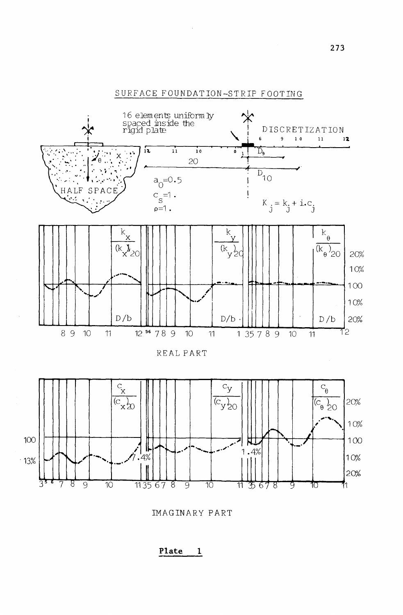

SURFACE FOUNDATION-STRIP FOOTING

IMAGINARY PART

-8  Plate  $\mathbf{1}$ 

З

ब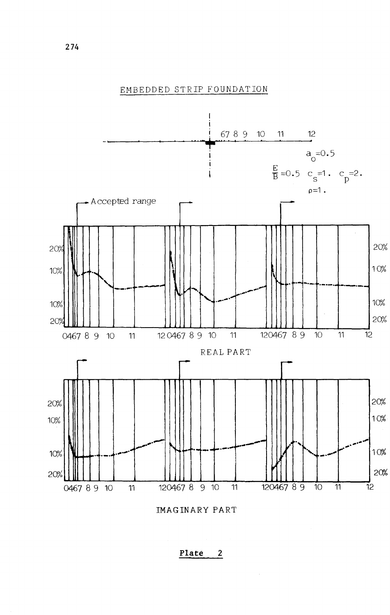

EMBEDDED STRIP FOUNDATION

IMAGINARY PART

Plate 2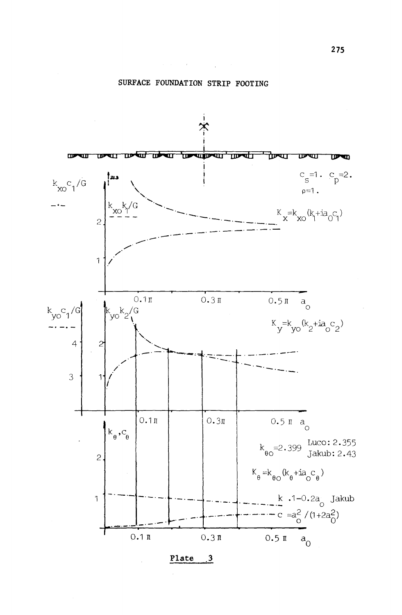

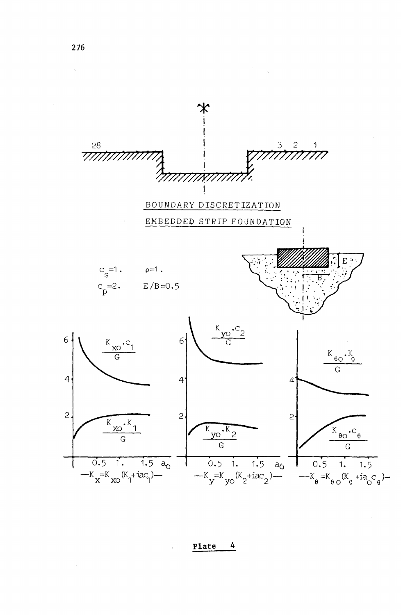

**Plate 4**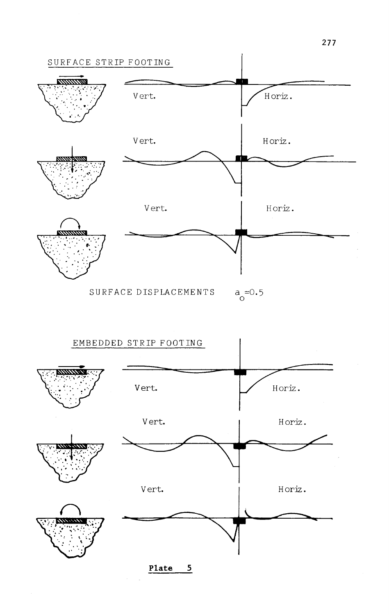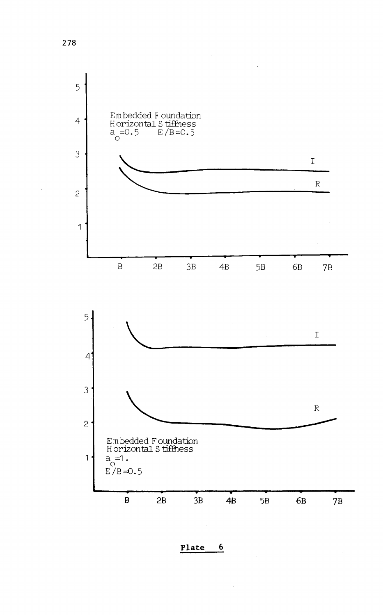

 $6 \overline{6}$ Plate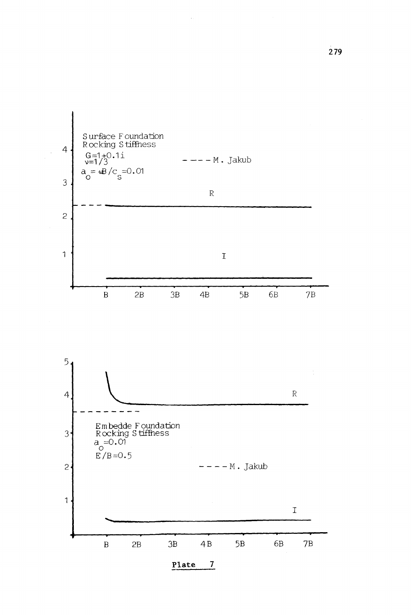